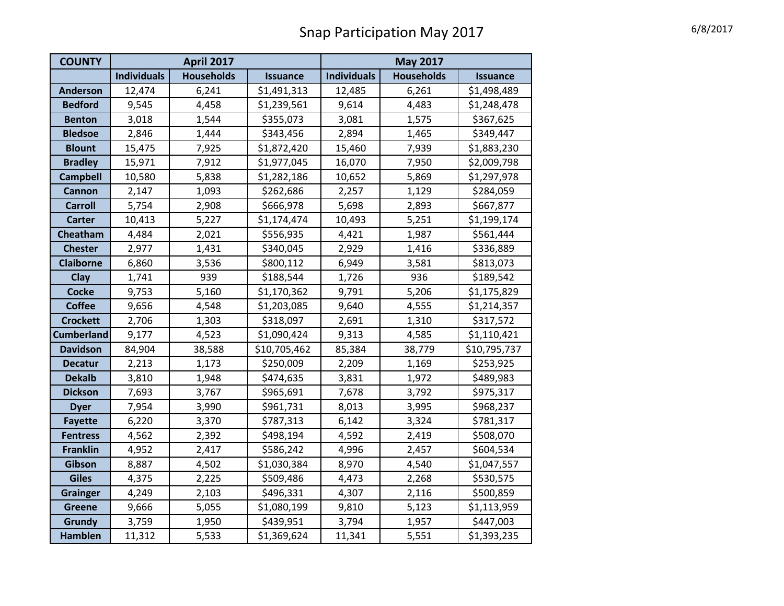| <b>COUNTY</b>     | <b>April 2017</b>  |                   |                 | <b>May 2017</b>    |                   |                 |
|-------------------|--------------------|-------------------|-----------------|--------------------|-------------------|-----------------|
|                   | <b>Individuals</b> | <b>Households</b> | <b>Issuance</b> | <b>Individuals</b> | <b>Households</b> | <b>Issuance</b> |
| <b>Anderson</b>   | 12,474             | 6,241             | \$1,491,313     | 12,485             | 6,261             | \$1,498,489     |
| <b>Bedford</b>    | 9,545              | 4,458             | \$1,239,561     | 9,614              | 4,483             | \$1,248,478     |
| <b>Benton</b>     | 3,018              | 1,544             | \$355,073       | 3,081              | 1,575             | \$367,625       |
| <b>Bledsoe</b>    | 2,846              | 1,444             | \$343,456       | 2,894              | 1,465             | \$349,447       |
| <b>Blount</b>     | 15,475             | 7,925             | \$1,872,420     | 15,460             | 7,939             | \$1,883,230     |
| <b>Bradley</b>    | 15,971             | 7,912             | \$1,977,045     | 16,070             | 7,950             | \$2,009,798     |
| <b>Campbell</b>   | 10,580             | 5,838             | \$1,282,186     | 10,652             | 5,869             | \$1,297,978     |
| <b>Cannon</b>     | 2,147              | 1,093             | \$262,686       | 2,257              | 1,129             | \$284,059       |
| <b>Carroll</b>    | 5,754              | 2,908             | \$666,978       | 5,698              | 2,893             | \$667,877       |
| <b>Carter</b>     | 10,413             | 5,227             | \$1,174,474     | 10,493             | 5,251             | \$1,199,174     |
| Cheatham          | 4,484              | 2,021             | \$556,935       | 4,421              | 1,987             | \$561,444       |
| <b>Chester</b>    | 2,977              | 1,431             | \$340,045       | 2,929              | 1,416             | \$336,889       |
| <b>Claiborne</b>  | 6,860              | 3,536             | \$800,112       | 6,949              | 3,581             | \$813,073       |
| Clay              | 1,741              | 939               | \$188,544       | 1,726              | 936               | \$189,542       |
| <b>Cocke</b>      | 9,753              | 5,160             | \$1,170,362     | 9,791              | 5,206             | \$1,175,829     |
| <b>Coffee</b>     | 9,656              | 4,548             | \$1,203,085     | 9,640              | 4,555             | \$1,214,357     |
| <b>Crockett</b>   | 2,706              | 1,303             | \$318,097       | 2,691              | 1,310             | \$317,572       |
| <b>Cumberland</b> | 9,177              | 4,523             | \$1,090,424     | 9,313              | 4,585             | \$1,110,421     |
| <b>Davidson</b>   | 84,904             | 38,588            | \$10,705,462    | 85,384             | 38,779            | \$10,795,737    |
| <b>Decatur</b>    | 2,213              | 1,173             | \$250,009       | 2,209              | 1,169             | \$253,925       |
| <b>Dekalb</b>     | 3,810              | 1,948             | \$474,635       | 3,831              | 1,972             | \$489,983       |
| <b>Dickson</b>    | 7,693              | 3,767             | \$965,691       | 7,678              | 3,792             | \$975,317       |
| <b>Dyer</b>       | 7,954              | 3,990             | \$961,731       | 8,013              | 3,995             | \$968,237       |
| <b>Fayette</b>    | 6,220              | 3,370             | \$787,313       | 6,142              | 3,324             | \$781,317       |
| <b>Fentress</b>   | 4,562              | 2,392             | \$498,194       | 4,592              | 2,419             | \$508,070       |
| <b>Franklin</b>   | 4,952              | 2,417             | \$586,242       | 4,996              | 2,457             | \$604,534       |
| Gibson            | 8,887              | 4,502             | \$1,030,384     | 8,970              | 4,540             | \$1,047,557     |
| <b>Giles</b>      | 4,375              | 2,225             | \$509,486       | 4,473              | 2,268             | \$530,575       |
| <b>Grainger</b>   | 4,249              | 2,103             | \$496,331       | 4,307              | 2,116             | \$500,859       |
| <b>Greene</b>     | 9,666              | 5,055             | \$1,080,199     | 9,810              | 5,123             | \$1,113,959     |
| <b>Grundy</b>     | 3,759              | 1,950             | \$439,951       | 3,794              | 1,957             | \$447,003       |
| <b>Hamblen</b>    | 11,312             | 5,533             | \$1,369,624     | 11,341             | 5,551             | \$1,393,235     |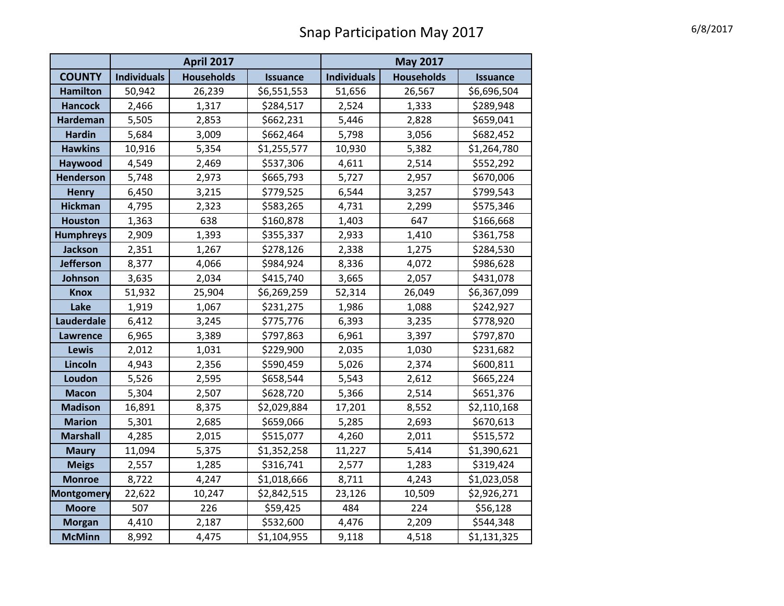|                   | <b>April 2017</b>  |                   |                 | <b>May 2017</b>    |                   |                 |
|-------------------|--------------------|-------------------|-----------------|--------------------|-------------------|-----------------|
| <b>COUNTY</b>     | <b>Individuals</b> | <b>Households</b> | <b>Issuance</b> | <b>Individuals</b> | <b>Households</b> | <b>Issuance</b> |
| <b>Hamilton</b>   | 50,942             | 26,239            | \$6,551,553     | 51,656             | 26,567            | \$6,696,504     |
| <b>Hancock</b>    | 2,466              | 1,317             | \$284,517       | 2,524              | 1,333             | \$289,948       |
| <b>Hardeman</b>   | 5,505              | 2,853             | \$662,231       | 5,446              | 2,828             | \$659,041       |
| <b>Hardin</b>     | 5,684              | 3,009             | \$662,464       | 5,798              | 3,056             | \$682,452       |
| <b>Hawkins</b>    | 10,916             | 5,354             | \$1,255,577     | 10,930             | 5,382             | \$1,264,780     |
| Haywood           | 4,549              | 2,469             | \$537,306       | 4,611              | 2,514             | \$552,292       |
| <b>Henderson</b>  | 5,748              | 2,973             | \$665,793       | 5,727              | 2,957             | \$670,006       |
| <b>Henry</b>      | 6,450              | 3,215             | \$779,525       | 6,544              | 3,257             | \$799,543       |
| <b>Hickman</b>    | 4,795              | 2,323             | \$583,265       | 4,731              | 2,299             | \$575,346       |
| <b>Houston</b>    | 1,363              | 638               | \$160,878       | 1,403              | 647               | \$166,668       |
| <b>Humphreys</b>  | 2,909              | 1,393             | \$355,337       | 2,933              | 1,410             | \$361,758       |
| <b>Jackson</b>    | 2,351              | 1,267             | \$278,126       | 2,338              | 1,275             | \$284,530       |
| <b>Jefferson</b>  | 8,377              | 4,066             | \$984,924       | 8,336              | 4,072             | \$986,628       |
| Johnson           | 3,635              | 2,034             | \$415,740       | 3,665              | 2,057             | \$431,078       |
| <b>Knox</b>       | 51,932             | 25,904            | \$6,269,259     | 52,314             | 26,049            | \$6,367,099     |
| Lake              | 1,919              | 1,067             | \$231,275       | 1,986              | 1,088             | \$242,927       |
| <b>Lauderdale</b> | 6,412              | 3,245             | \$775,776       | 6,393              | 3,235             | \$778,920       |
| <b>Lawrence</b>   | 6,965              | 3,389             | \$797,863       | 6,961              | 3,397             | \$797,870       |
| <b>Lewis</b>      | 2,012              | 1,031             | \$229,900       | 2,035              | 1,030             | \$231,682       |
| Lincoln           | 4,943              | 2,356             | \$590,459       | 5,026              | 2,374             | \$600,811       |
| Loudon            | 5,526              | 2,595             | \$658,544       | 5,543              | 2,612             | \$665,224       |
| <b>Macon</b>      | 5,304              | 2,507             | \$628,720       | 5,366              | 2,514             | \$651,376       |
| <b>Madison</b>    | 16,891             | 8,375             | \$2,029,884     | 17,201             | 8,552             | \$2,110,168     |
| <b>Marion</b>     | 5,301              | 2,685             | \$659,066       | 5,285              | 2,693             | \$670,613       |
| <b>Marshall</b>   | 4,285              | 2,015             | \$515,077       | 4,260              | 2,011             | \$515,572       |
| <b>Maury</b>      | 11,094             | 5,375             | \$1,352,258     | 11,227             | 5,414             | \$1,390,621     |
| <b>Meigs</b>      | 2,557              | 1,285             | \$316,741       | 2,577              | 1,283             | \$319,424       |
| <b>Monroe</b>     | 8,722              | 4,247             | \$1,018,666     | 8,711              | 4,243             | \$1,023,058     |
| <b>Montgomery</b> | 22,622             | 10,247            | \$2,842,515     | 23,126             | 10,509            | \$2,926,271     |
| <b>Moore</b>      | 507                | 226               | \$59,425        | 484                | 224               | \$56,128        |
| <b>Morgan</b>     | 4,410              | 2,187             | \$532,600       | 4,476              | 2,209             | \$544,348       |
| <b>McMinn</b>     | 8,992              | 4,475             | \$1,104,955     | 9,118              | 4,518             | \$1,131,325     |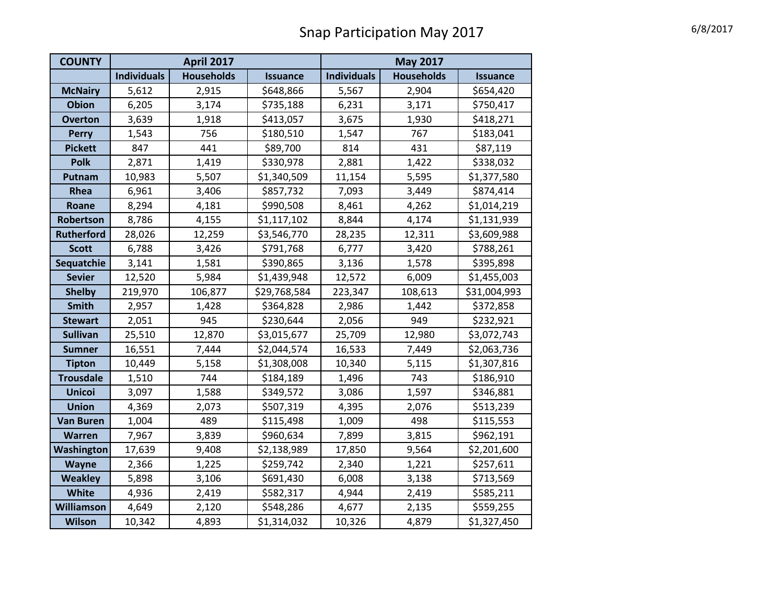| <b>COUNTY</b>     | <b>April 2017</b>  |                   |                 | <b>May 2017</b>    |                   |                 |
|-------------------|--------------------|-------------------|-----------------|--------------------|-------------------|-----------------|
|                   | <b>Individuals</b> | <b>Households</b> | <b>Issuance</b> | <b>Individuals</b> | <b>Households</b> | <b>Issuance</b> |
| <b>McNairy</b>    | 5,612              | 2,915             | \$648,866       | 5,567              | 2,904             | \$654,420       |
| <b>Obion</b>      | 6,205              | 3,174             | \$735,188       | 6,231              | 3,171             | \$750,417       |
| <b>Overton</b>    | 3,639              | 1,918             | \$413,057       | 3,675              | 1,930             | \$418,271       |
| <b>Perry</b>      | 1,543              | 756               | \$180,510       | 1,547              | 767               | \$183,041       |
| <b>Pickett</b>    | 847                | 441               | \$89,700        | 814                | 431               | \$87,119        |
| <b>Polk</b>       | 2,871              | 1,419             | \$330,978       | 2,881              | 1,422             | \$338,032       |
| Putnam            | 10,983             | 5,507             | \$1,340,509     | 11,154             | 5,595             | \$1,377,580     |
| Rhea              | 6,961              | 3,406             | \$857,732       | 7,093              | 3,449             | \$874,414       |
| Roane             | 8,294              | 4,181             | \$990,508       | 8,461              | 4,262             | \$1,014,219     |
| Robertson         | 8,786              | 4,155             | \$1,117,102     | 8,844              | 4,174             | \$1,131,939     |
| <b>Rutherford</b> | 28,026             | 12,259            | \$3,546,770     | 28,235             | 12,311            | \$3,609,988     |
| <b>Scott</b>      | 6,788              | 3,426             | \$791,768       | 6,777              | 3,420             | \$788,261       |
| Sequatchie        | 3,141              | 1,581             | \$390,865       | 3,136              | 1,578             | \$395,898       |
| <b>Sevier</b>     | 12,520             | 5,984             | \$1,439,948     | 12,572             | 6,009             | \$1,455,003     |
| <b>Shelby</b>     | 219,970            | 106,877           | \$29,768,584    | 223,347            | 108,613           | \$31,004,993    |
| <b>Smith</b>      | 2,957              | 1,428             | \$364,828       | 2,986              | 1,442             | \$372,858       |
| <b>Stewart</b>    | 2,051              | 945               | \$230,644       | 2,056              | 949               | \$232,921       |
| <b>Sullivan</b>   | 25,510             | 12,870            | \$3,015,677     | 25,709             | 12,980            | \$3,072,743     |
| <b>Sumner</b>     | 16,551             | 7,444             | \$2,044,574     | 16,533             | 7,449             | \$2,063,736     |
| <b>Tipton</b>     | 10,449             | 5,158             | \$1,308,008     | 10,340             | 5,115             | \$1,307,816     |
| <b>Trousdale</b>  | 1,510              | 744               | \$184,189       | 1,496              | 743               | \$186,910       |
| <b>Unicoi</b>     | 3,097              | 1,588             | \$349,572       | 3,086              | 1,597             | \$346,881       |
| <b>Union</b>      | 4,369              | 2,073             | \$507,319       | 4,395              | 2,076             | \$513,239       |
| <b>Van Buren</b>  | 1,004              | 489               | \$115,498       | 1,009              | 498               | \$115,553       |
| Warren            | 7,967              | 3,839             | \$960,634       | 7,899              | 3,815             | \$962,191       |
| Washington        | 17,639             | 9,408             | \$2,138,989     | 17,850             | 9,564             | \$2,201,600     |
| <b>Wayne</b>      | 2,366              | 1,225             | \$259,742       | 2,340              | 1,221             | \$257,611       |
| <b>Weakley</b>    | 5,898              | 3,106             | \$691,430       | 6,008              | 3,138             | \$713,569       |
| White             | 4,936              | 2,419             | \$582,317       | 4,944              | 2,419             | \$585,211       |
| Williamson        | 4,649              | 2,120             | \$548,286       | 4,677              | 2,135             | \$559,255       |
| <b>Wilson</b>     | 10,342             | 4,893             | \$1,314,032     | 10,326             | 4,879             | \$1,327,450     |